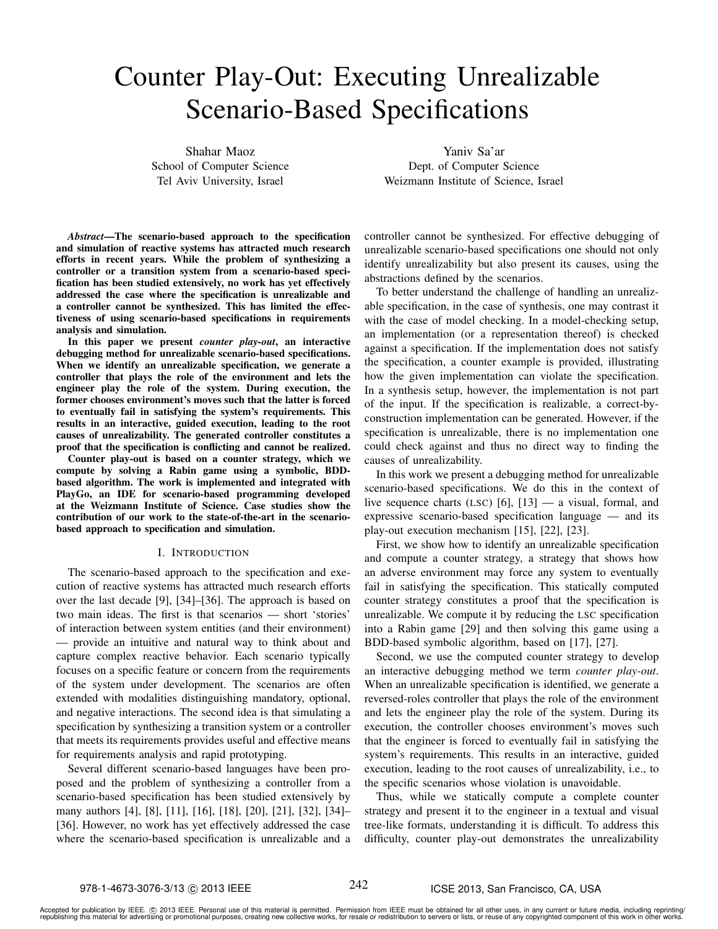# Counter Play-Out: Executing Unrealizable Scenario-Based Specifications

Shahar Maoz School of Computer Science Tel Aviv University, Israel

Yaniv Sa'ar Dept. of Computer Science Weizmann Institute of Science, Israel

*Abstract*—The scenario-based approach to the specification and simulation of reactive systems has attracted much research efforts in recent years. While the problem of synthesizing a controller or a transition system from a scenario-based specification has been studied extensively, no work has yet effectively addressed the case where the specification is unrealizable and a controller cannot be synthesized. This has limited the effectiveness of using scenario-based specifications in requirements analysis and simulation.

In this paper we present *counter play-out*, an interactive debugging method for unrealizable scenario-based specifications. When we identify an unrealizable specification, we generate a controller that plays the role of the environment and lets the engineer play the role of the system. During execution, the former chooses environment's moves such that the latter is forced to eventually fail in satisfying the system's requirements. This results in an interactive, guided execution, leading to the root causes of unrealizability. The generated controller constitutes a proof that the specification is conflicting and cannot be realized.

Counter play-out is based on a counter strategy, which we compute by solving a Rabin game using a symbolic, BDDbased algorithm. The work is implemented and integrated with PlayGo, an IDE for scenario-based programming developed at the Weizmann Institute of Science. Case studies show the contribution of our work to the state-of-the-art in the scenariobased approach to specification and simulation.

# I. INTRODUCTION

The scenario-based approach to the specification and execution of reactive systems has attracted much research efforts over the last decade [9], [34]–[36]. The approach is based on two main ideas. The first is that scenarios — short 'stories' of interaction between system entities (and their environment) — provide an intuitive and natural way to think about and capture complex reactive behavior. Each scenario typically focuses on a specific feature or concern from the requirements of the system under development. The scenarios are often extended with modalities distinguishing mandatory, optional, and negative interactions. The second idea is that simulating a specification by synthesizing a transition system or a controller that meets its requirements provides useful and effective means for requirements analysis and rapid prototyping.

Several different scenario-based languages have been proposed and the problem of synthesizing a controller from a scenario-based specification has been studied extensively by many authors [4], [8], [11], [16], [18], [20], [21], [32], [34]– [36]. However, no work has yet effectively addressed the case where the scenario-based specification is unrealizable and a

controller cannot be synthesized. For effective debugging of unrealizable scenario-based specifications one should not only identify unrealizability but also present its causes, using the abstractions defined by the scenarios.

To better understand the challenge of handling an unrealizable specification, in the case of synthesis, one may contrast it with the case of model checking. In a model-checking setup, an implementation (or a representation thereof) is checked against a specification. If the implementation does not satisfy the specification, a counter example is provided, illustrating how the given implementation can violate the specification. In a synthesis setup, however, the implementation is not part of the input. If the specification is realizable, a correct-byconstruction implementation can be generated. However, if the specification is unrealizable, there is no implementation one could check against and thus no direct way to finding the causes of unrealizability.

In this work we present a debugging method for unrealizable scenario-based specifications. We do this in the context of live sequence charts (LSC) [6], [13] — a visual, formal, and expressive scenario-based specification language — and its play-out execution mechanism [15], [22], [23].

First, we show how to identify an unrealizable specification and compute a counter strategy, a strategy that shows how an adverse environment may force any system to eventually fail in satisfying the specification. This statically computed counter strategy constitutes a proof that the specification is unrealizable. We compute it by reducing the LSC specification into a Rabin game [29] and then solving this game using a BDD-based symbolic algorithm, based on [17], [27].

Second, we use the computed counter strategy to develop an interactive debugging method we term *counter play-out*. When an unrealizable specification is identified, we generate a reversed-roles controller that plays the role of the environment and lets the engineer play the role of the system. During its execution, the controller chooses environment's moves such that the engineer is forced to eventually fail in satisfying the system's requirements. This results in an interactive, guided execution, leading to the root causes of unrealizability, i.e., to the specific scenarios whose violation is unavoidable.

Thus, while we statically compute a complete counter strategy and present it to the engineer in a textual and visual tree-like formats, understanding it is difficult. To address this difficulty, counter play-out demonstrates the unrealizability

242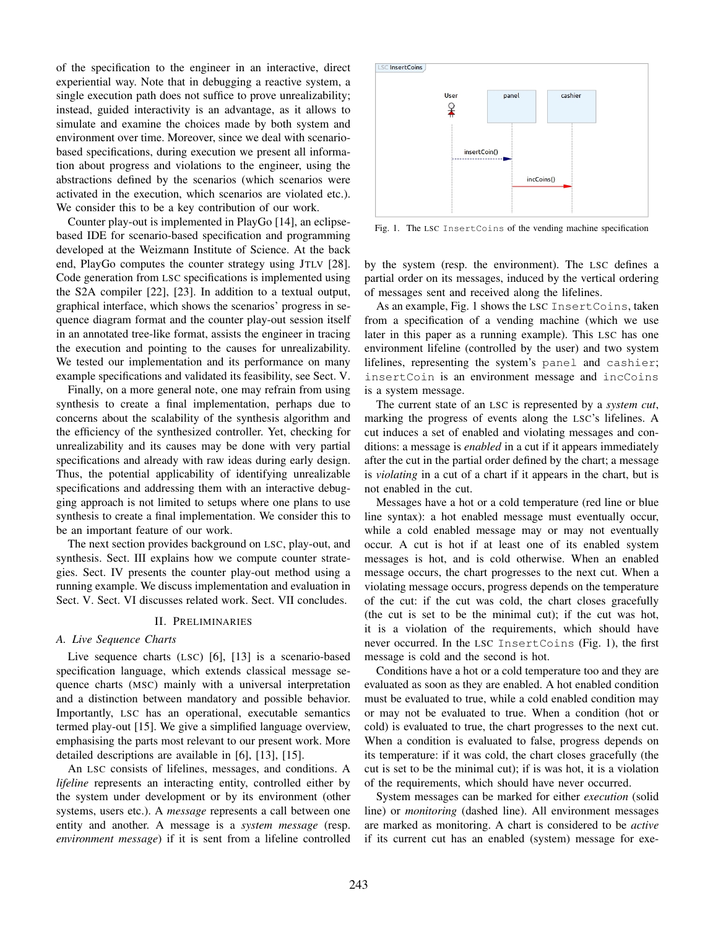of the specification to the engineer in an interactive, direct experiential way. Note that in debugging a reactive system, a single execution path does not suffice to prove unrealizability; instead, guided interactivity is an advantage, as it allows to simulate and examine the choices made by both system and environment over time. Moreover, since we deal with scenariobased specifications, during execution we present all information about progress and violations to the engineer, using the abstractions defined by the scenarios (which scenarios were activated in the execution, which scenarios are violated etc.). We consider this to be a key contribution of our work.

Counter play-out is implemented in PlayGo [14], an eclipsebased IDE for scenario-based specification and programming developed at the Weizmann Institute of Science. At the back end, PlayGo computes the counter strategy using JTLV [28]. Code generation from LSC specifications is implemented using the S2A compiler [22], [23]. In addition to a textual output, graphical interface, which shows the scenarios' progress in sequence diagram format and the counter play-out session itself in an annotated tree-like format, assists the engineer in tracing the execution and pointing to the causes for unrealizability. We tested our implementation and its performance on many example specifications and validated its feasibility, see Sect. V.

Finally, on a more general note, one may refrain from using synthesis to create a final implementation, perhaps due to concerns about the scalability of the synthesis algorithm and the efficiency of the synthesized controller. Yet, checking for unrealizability and its causes may be done with very partial specifications and already with raw ideas during early design. Thus, the potential applicability of identifying unrealizable specifications and addressing them with an interactive debugging approach is not limited to setups where one plans to use synthesis to create a final implementation. We consider this to be an important feature of our work.

The next section provides background on LSC, play-out, and synthesis. Sect. III explains how we compute counter strategies. Sect. IV presents the counter play-out method using a running example. We discuss implementation and evaluation in Sect. V. Sect. VI discusses related work. Sect. VII concludes.

## II. PRELIMINARIES

#### *A. Live Sequence Charts*

Live sequence charts (LSC) [6], [13] is a scenario-based specification language, which extends classical message sequence charts (MSC) mainly with a universal interpretation and a distinction between mandatory and possible behavior. Importantly, LSC has an operational, executable semantics termed play-out [15]. We give a simplified language overview, emphasising the parts most relevant to our present work. More detailed descriptions are available in [6], [13], [15].

An LSC consists of lifelines, messages, and conditions. A *lifeline* represents an interacting entity, controlled either by the system under development or by its environment (other systems, users etc.). A *message* represents a call between one entity and another. A message is a *system message* (resp. *environment message*) if it is sent from a lifeline controlled



Fig. 1. The LSC InsertCoins of the vending machine specification

by the system (resp. the environment). The LSC defines a partial order on its messages, induced by the vertical ordering of messages sent and received along the lifelines.

As an example, Fig. 1 shows the LSC InsertCoins, taken from a specification of a vending machine (which we use later in this paper as a running example). This LSC has one environment lifeline (controlled by the user) and two system lifelines, representing the system's panel and cashier; insertCoin is an environment message and incCoins is a system message.

The current state of an LSC is represented by a *system cut*, marking the progress of events along the LSC's lifelines. A cut induces a set of enabled and violating messages and conditions: a message is *enabled* in a cut if it appears immediately after the cut in the partial order defined by the chart; a message is *violating* in a cut of a chart if it appears in the chart, but is not enabled in the cut.

Messages have a hot or a cold temperature (red line or blue line syntax): a hot enabled message must eventually occur, while a cold enabled message may or may not eventually occur. A cut is hot if at least one of its enabled system messages is hot, and is cold otherwise. When an enabled message occurs, the chart progresses to the next cut. When a violating message occurs, progress depends on the temperature of the cut: if the cut was cold, the chart closes gracefully (the cut is set to be the minimal cut); if the cut was hot, it is a violation of the requirements, which should have never occurred. In the LSC InsertCoins (Fig. 1), the first message is cold and the second is hot.

Conditions have a hot or a cold temperature too and they are evaluated as soon as they are enabled. A hot enabled condition must be evaluated to true, while a cold enabled condition may or may not be evaluated to true. When a condition (hot or cold) is evaluated to true, the chart progresses to the next cut. When a condition is evaluated to false, progress depends on its temperature: if it was cold, the chart closes gracefully (the cut is set to be the minimal cut); if is was hot, it is a violation of the requirements, which should have never occurred.

System messages can be marked for either *execution* (solid line) or *monitoring* (dashed line). All environment messages are marked as monitoring. A chart is considered to be *active* if its current cut has an enabled (system) message for exe-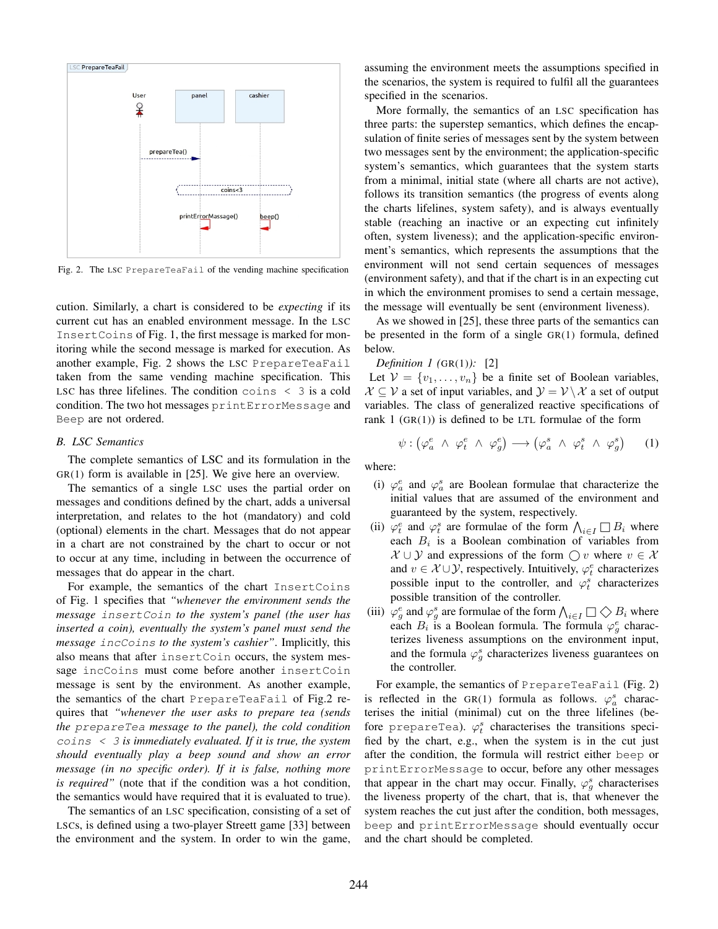

Fig. 2. The LSC PrepareTeaFail of the vending machine specification

cution. Similarly, a chart is considered to be *expecting* if its current cut has an enabled environment message. In the LSC InsertCoins of Fig. 1, the first message is marked for monitoring while the second message is marked for execution. As another example, Fig. 2 shows the LSC PrepareTeaFail taken from the same vending machine specification. This LSC has three lifelines. The condition coins  $\leq$  3 is a cold condition. The two hot messages printErrorMessage and Beep are not ordered.

## *B. LSC Semantics*

The complete semantics of LSC and its formulation in the GR(1) form is available in [25]. We give here an overview.

The semantics of a single LSC uses the partial order on messages and conditions defined by the chart, adds a universal interpretation, and relates to the hot (mandatory) and cold (optional) elements in the chart. Messages that do not appear in a chart are not constrained by the chart to occur or not to occur at any time, including in between the occurrence of messages that do appear in the chart.

For example, the semantics of the chart InsertCoins of Fig. 1 specifies that *"whenever the environment sends the message* insertCoin *to the system's panel (the user has inserted a coin), eventually the system's panel must send the message* incCoins *to the system's cashier"*. Implicitly, this also means that after insertCoin occurs, the system message incCoins must come before another insertCoin message is sent by the environment. As another example, the semantics of the chart PrepareTeaFail of Fig.2 requires that *"whenever the user asks to prepare tea (sends the* prepareTea *message to the panel), the cold condition* coins < 3 *is immediately evaluated. If it is true, the system should eventually play a beep sound and show an error message (in no specific order). If it is false, nothing more is required"* (note that if the condition was a hot condition, the semantics would have required that it is evaluated to true).

The semantics of an LSC specification, consisting of a set of LSCs, is defined using a two-player Streett game [33] between the environment and the system. In order to win the game,

assuming the environment meets the assumptions specified in the scenarios, the system is required to fulfil all the guarantees specified in the scenarios.

More formally, the semantics of an LSC specification has three parts: the superstep semantics, which defines the encapsulation of finite series of messages sent by the system between two messages sent by the environment; the application-specific system's semantics, which guarantees that the system starts from a minimal, initial state (where all charts are not active), follows its transition semantics (the progress of events along the charts lifelines, system safety), and is always eventually stable (reaching an inactive or an expecting cut infinitely often, system liveness); and the application-specific environment's semantics, which represents the assumptions that the environment will not send certain sequences of messages (environment safety), and that if the chart is in an expecting cut in which the environment promises to send a certain message, the message will eventually be sent (environment liveness).

As we showed in [25], these three parts of the semantics can be presented in the form of a single GR(1) formula, defined below.

*Definition 1 (*GR(1)*):* [2]

Let  $V = \{v_1, \ldots, v_n\}$  be a finite set of Boolean variables,  $\mathcal{X} \subseteq \mathcal{V}$  a set of input variables, and  $\mathcal{Y} = \mathcal{V} \setminus \mathcal{X}$  a set of output variables. The class of generalized reactive specifications of rank  $1$  (GR(1)) is defined to be LTL formulae of the form

$$
\psi : (\varphi_a^e \wedge \varphi_t^e \wedge \varphi_g^e) \longrightarrow (\varphi_a^s \wedge \varphi_t^s \wedge \varphi_g^s) \qquad (1)
$$

where:

- (i)  $\varphi_a^e$  and  $\varphi_a^s$  are Boolean formulae that characterize the initial values that are assumed of the environment and guaranteed by the system, respectively.
- (ii)  $\varphi_t^e$  and  $\varphi_t^s$  are formulae of the form  $\bigwedge_{i\in I}\Box B_i$  where each  $B_i$  is a Boolean combination of variables from  $\mathcal{X} \cup \mathcal{Y}$  and expressions of the form  $\bigcirc v$  where  $v \in \mathcal{X}$ and  $v \in \mathcal{X} \cup \mathcal{Y}$ , respectively. Intuitively,  $\varphi_t^e$  characterizes possible input to the controller, and  $\varphi_t^s$  characterizes possible transition of the controller.
- (iii)  $\varphi_g^e$  and  $\varphi_g^s$  are formulae of the form  $\bigwedge_{i \in I} \Box \bigotimes B_i$  where each  $B_i$  is a Boolean formula. The formula  $\varphi_g^e$  characterizes liveness assumptions on the environment input, and the formula  $\varphi_g^s$  characterizes liveness guarantees on the controller.

For example, the semantics of PrepareTeaFail (Fig. 2) is reflected in the GR(1) formula as follows.  $\varphi_a^s$  characterises the initial (minimal) cut on the three lifelines (before prepareTea).  $\varphi_t^s$  characterises the transitions specified by the chart, e.g., when the system is in the cut just after the condition, the formula will restrict either beep or printErrorMessage to occur, before any other messages that appear in the chart may occur. Finally,  $\varphi_g^s$  characterises the liveness property of the chart, that is, that whenever the system reaches the cut just after the condition, both messages, beep and printErrorMessage should eventually occur and the chart should be completed.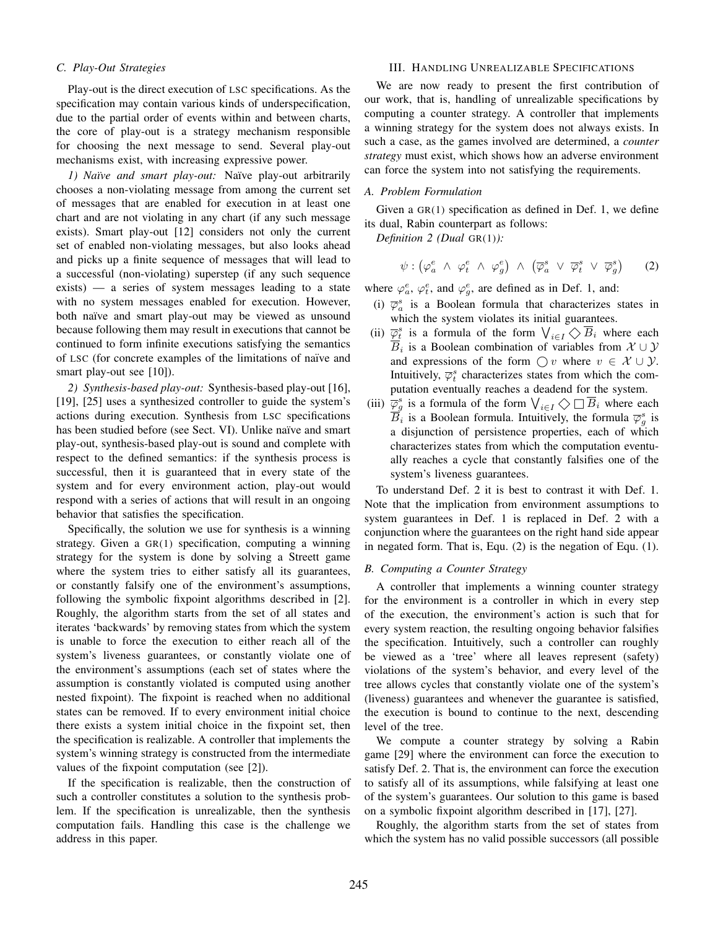## *C. Play-Out Strategies*

Play-out is the direct execution of LSC specifications. As the specification may contain various kinds of underspecification, due to the partial order of events within and between charts, the core of play-out is a strategy mechanism responsible for choosing the next message to send. Several play-out mechanisms exist, with increasing expressive power.

*1) Naïve and smart play-out:* Naïve play-out arbitrarily chooses a non-violating message from among the current set of messages that are enabled for execution in at least one chart and are not violating in any chart (if any such message exists). Smart play-out [12] considers not only the current set of enabled non-violating messages, but also looks ahead and picks up a finite sequence of messages that will lead to a successful (non-violating) superstep (if any such sequence exists) — a series of system messages leading to a state with no system messages enabled for execution. However, both naïve and smart play-out may be viewed as unsound because following them may result in executions that cannot be continued to form infinite executions satisfying the semantics of LSC (for concrete examples of the limitations of naïve and smart play-out see [10]).

*2) Synthesis-based play-out:* Synthesis-based play-out [16], [19], [25] uses a synthesized controller to guide the system's actions during execution. Synthesis from LSC specifications has been studied before (see Sect. VI). Unlike naïve and smart play-out, synthesis-based play-out is sound and complete with respect to the defined semantics: if the synthesis process is successful, then it is guaranteed that in every state of the system and for every environment action, play-out would respond with a series of actions that will result in an ongoing behavior that satisfies the specification.

Specifically, the solution we use for synthesis is a winning strategy. Given a GR(1) specification, computing a winning strategy for the system is done by solving a Streett game where the system tries to either satisfy all its guarantees, or constantly falsify one of the environment's assumptions, following the symbolic fixpoint algorithms described in [2]. Roughly, the algorithm starts from the set of all states and iterates 'backwards' by removing states from which the system is unable to force the execution to either reach all of the system's liveness guarantees, or constantly violate one of the environment's assumptions (each set of states where the assumption is constantly violated is computed using another nested fixpoint). The fixpoint is reached when no additional states can be removed. If to every environment initial choice there exists a system initial choice in the fixpoint set, then the specification is realizable. A controller that implements the system's winning strategy is constructed from the intermediate values of the fixpoint computation (see [2]).

If the specification is realizable, then the construction of such a controller constitutes a solution to the synthesis problem. If the specification is unrealizable, then the synthesis computation fails. Handling this case is the challenge we address in this paper.

## III. HANDLING UNREALIZABLE SPECIFICATIONS

We are now ready to present the first contribution of our work, that is, handling of unrealizable specifications by computing a counter strategy. A controller that implements a winning strategy for the system does not always exists. In such a case, as the games involved are determined, a *counter strategy* must exist, which shows how an adverse environment can force the system into not satisfying the requirements.

# *A. Problem Formulation*

Given a GR(1) specification as defined in Def. 1, we define its dual, Rabin counterpart as follows:

*Definition 2 (Dual* GR(1)*):*

 $\psi: \left(\varphi^e_a \;\wedge\; \varphi^e_t \;\wedge\; \varphi^e_g\right) \;\wedge\; \left(\overline{\varphi}^s_a \;\vee\; \overline{\varphi}^s_t \;\vee\; \overline{\varphi}^s_g\right)$ (2)

where  $\varphi_a^e$ ,  $\varphi_t^e$ , and  $\varphi_g^e$ , are defined as in Def. 1, and:

- (i)  $\overline{\varphi}_a^s$  is a Boolean formula that characterizes states in which the system violates its initial guarantees.
- (ii)  $\overline{\varphi}_t^s$  is a formula of the form  $\bigvee_{i \in I} \bigotimes \overline{B}_i$  where each  $B_i$  is a Boolean combination of variables from  $\mathcal{X} \cup \mathcal{Y}$ and expressions of the form  $\bigcirc$  v where  $v \in \mathcal{X} \cup \mathcal{Y}$ . Intuitively,  $\overline{\varphi}_t^s$  characterizes states from which the computation eventually reaches a deadend for the system.
- (iii)  $\overline{\varphi}_g^s$  is a formula of the form  $\bigvee_{i \in I} \bigotimes \Box \overline{B}_i$  where each  $\overline{B}_i$  is a Boolean formula. Intuitively, the formula  $\overline{\varphi}_g^s$  is a disjunction of persistence properties, each of which characterizes states from which the computation eventually reaches a cycle that constantly falsifies one of the system's liveness guarantees.

To understand Def. 2 it is best to contrast it with Def. 1. Note that the implication from environment assumptions to system guarantees in Def. 1 is replaced in Def. 2 with a conjunction where the guarantees on the right hand side appear in negated form. That is, Equ. (2) is the negation of Equ. (1).

# *B. Computing a Counter Strategy*

A controller that implements a winning counter strategy for the environment is a controller in which in every step of the execution, the environment's action is such that for every system reaction, the resulting ongoing behavior falsifies the specification. Intuitively, such a controller can roughly be viewed as a 'tree' where all leaves represent (safety) violations of the system's behavior, and every level of the tree allows cycles that constantly violate one of the system's (liveness) guarantees and whenever the guarantee is satisfied, the execution is bound to continue to the next, descending level of the tree.

We compute a counter strategy by solving a Rabin game [29] where the environment can force the execution to satisfy Def. 2. That is, the environment can force the execution to satisfy all of its assumptions, while falsifying at least one of the system's guarantees. Our solution to this game is based on a symbolic fixpoint algorithm described in [17], [27].

Roughly, the algorithm starts from the set of states from which the system has no valid possible successors (all possible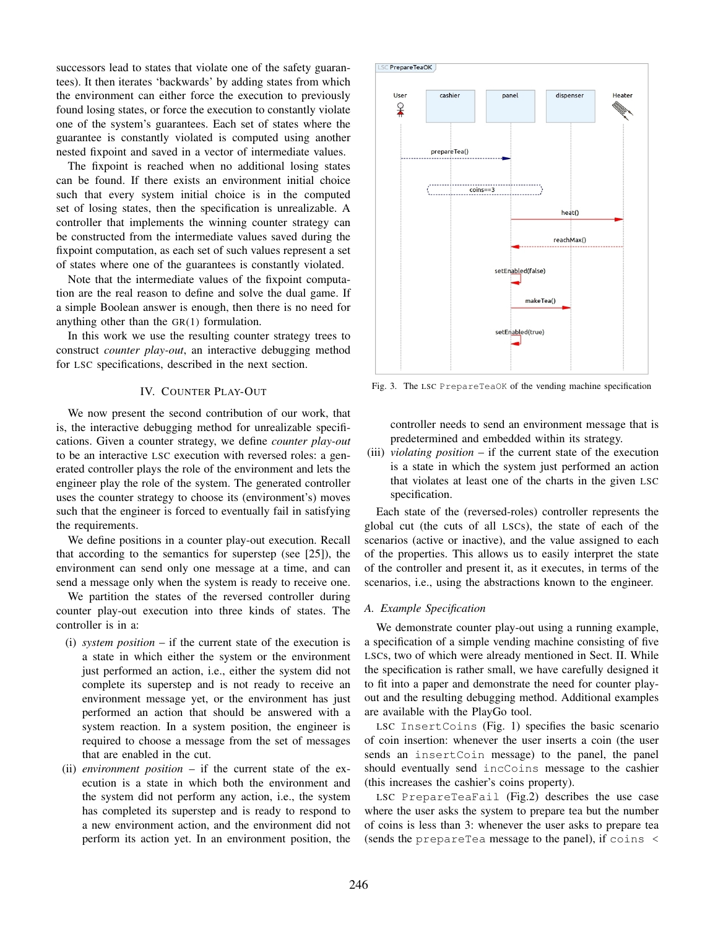successors lead to states that violate one of the safety guarantees). It then iterates 'backwards' by adding states from which the environment can either force the execution to previously found losing states, or force the execution to constantly violate one of the system's guarantees. Each set of states where the guarantee is constantly violated is computed using another nested fixpoint and saved in a vector of intermediate values.

The fixpoint is reached when no additional losing states can be found. If there exists an environment initial choice such that every system initial choice is in the computed set of losing states, then the specification is unrealizable. A controller that implements the winning counter strategy can be constructed from the intermediate values saved during the fixpoint computation, as each set of such values represent a set of states where one of the guarantees is constantly violated.

Note that the intermediate values of the fixpoint computation are the real reason to define and solve the dual game. If a simple Boolean answer is enough, then there is no need for anything other than the GR(1) formulation.

In this work we use the resulting counter strategy trees to construct *counter play-out*, an interactive debugging method for LSC specifications, described in the next section.

# IV. COUNTER PLAY-OUT

We now present the second contribution of our work, that is, the interactive debugging method for unrealizable specifications. Given a counter strategy, we define *counter play-out* to be an interactive LSC execution with reversed roles: a generated controller plays the role of the environment and lets the engineer play the role of the system. The generated controller uses the counter strategy to choose its (environment's) moves such that the engineer is forced to eventually fail in satisfying the requirements.

We define positions in a counter play-out execution. Recall that according to the semantics for superstep (see [25]), the environment can send only one message at a time, and can send a message only when the system is ready to receive one.

We partition the states of the reversed controller during counter play-out execution into three kinds of states. The controller is in a:

- (i) *system position* if the current state of the execution is a state in which either the system or the environment just performed an action, i.e., either the system did not complete its superstep and is not ready to receive an environment message yet, or the environment has just performed an action that should be answered with a system reaction. In a system position, the engineer is required to choose a message from the set of messages that are enabled in the cut.
- (ii) *environment position* if the current state of the execution is a state in which both the environment and the system did not perform any action, i.e., the system has completed its superstep and is ready to respond to a new environment action, and the environment did not perform its action yet. In an environment position, the



Fig. 3. The LSC PrepareTeaOK of the vending machine specification

controller needs to send an environment message that is predetermined and embedded within its strategy.

(iii) *violating position* – if the current state of the execution is a state in which the system just performed an action that violates at least one of the charts in the given LSC specification.

Each state of the (reversed-roles) controller represents the global cut (the cuts of all LSCs), the state of each of the scenarios (active or inactive), and the value assigned to each of the properties. This allows us to easily interpret the state of the controller and present it, as it executes, in terms of the scenarios, i.e., using the abstractions known to the engineer.

## *A. Example Specification*

We demonstrate counter play-out using a running example, a specification of a simple vending machine consisting of five LSCs, two of which were already mentioned in Sect. II. While the specification is rather small, we have carefully designed it to fit into a paper and demonstrate the need for counter playout and the resulting debugging method. Additional examples are available with the PlayGo tool.

LSC InsertCoins (Fig. 1) specifies the basic scenario of coin insertion: whenever the user inserts a coin (the user sends an insertCoin message) to the panel, the panel should eventually send incCoins message to the cashier (this increases the cashier's coins property).

LSC PrepareTeaFail (Fig.2) describes the use case where the user asks the system to prepare tea but the number of coins is less than 3: whenever the user asks to prepare tea (sends the prepareTea message to the panel), if coins <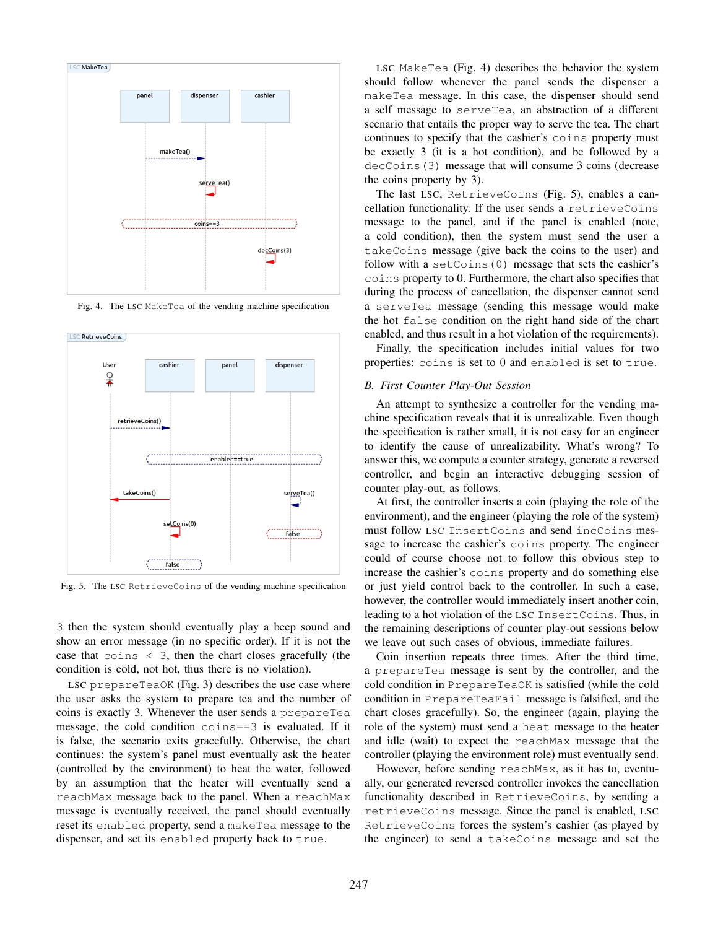

Fig. 4. The LSC MakeTea of the vending machine specification



Fig. 5. The LSC RetrieveCoins of the vending machine specification

3 then the system should eventually play a beep sound and show an error message (in no specific order). If it is not the case that coins < 3, then the chart closes gracefully (the condition is cold, not hot, thus there is no violation).

LSC prepareTeaOK (Fig. 3) describes the use case where the user asks the system to prepare tea and the number of coins is exactly 3. Whenever the user sends a prepareTea message, the cold condition coins==3 is evaluated. If it is false, the scenario exits gracefully. Otherwise, the chart continues: the system's panel must eventually ask the heater (controlled by the environment) to heat the water, followed by an assumption that the heater will eventually send a reachMax message back to the panel. When a reachMax message is eventually received, the panel should eventually reset its enabled property, send a makeTea message to the dispenser, and set its enabled property back to true.

LSC MakeTea (Fig. 4) describes the behavior the system should follow whenever the panel sends the dispenser a makeTea message. In this case, the dispenser should send a self message to serveTea, an abstraction of a different scenario that entails the proper way to serve the tea. The chart continues to specify that the cashier's coins property must be exactly 3 (it is a hot condition), and be followed by a decCoins(3) message that will consume 3 coins (decrease the coins property by 3).

The last LSC, RetrieveCoins (Fig. 5), enables a cancellation functionality. If the user sends a retrieveCoins message to the panel, and if the panel is enabled (note, a cold condition), then the system must send the user a takeCoins message (give back the coins to the user) and follow with a setCoins(0) message that sets the cashier's coins property to 0. Furthermore, the chart also specifies that during the process of cancellation, the dispenser cannot send a serveTea message (sending this message would make the hot false condition on the right hand side of the chart enabled, and thus result in a hot violation of the requirements).

Finally, the specification includes initial values for two properties: coins is set to 0 and enabled is set to true.

# *B. First Counter Play-Out Session*

An attempt to synthesize a controller for the vending machine specification reveals that it is unrealizable. Even though the specification is rather small, it is not easy for an engineer to identify the cause of unrealizability. What's wrong? To answer this, we compute a counter strategy, generate a reversed controller, and begin an interactive debugging session of counter play-out, as follows.

At first, the controller inserts a coin (playing the role of the environment), and the engineer (playing the role of the system) must follow LSC InsertCoins and send incCoins message to increase the cashier's coins property. The engineer could of course choose not to follow this obvious step to increase the cashier's coins property and do something else or just yield control back to the controller. In such a case, however, the controller would immediately insert another coin, leading to a hot violation of the LSC InsertCoins. Thus, in the remaining descriptions of counter play-out sessions below we leave out such cases of obvious, immediate failures.

Coin insertion repeats three times. After the third time, a prepareTea message is sent by the controller, and the cold condition in PrepareTeaOK is satisfied (while the cold condition in PrepareTeaFail message is falsified, and the chart closes gracefully). So, the engineer (again, playing the role of the system) must send a heat message to the heater and idle (wait) to expect the reachMax message that the controller (playing the environment role) must eventually send.

However, before sending reachMax, as it has to, eventually, our generated reversed controller invokes the cancellation functionality described in RetrieveCoins, by sending a retrieveCoins message. Since the panel is enabled, LSC RetrieveCoins forces the system's cashier (as played by the engineer) to send a takeCoins message and set the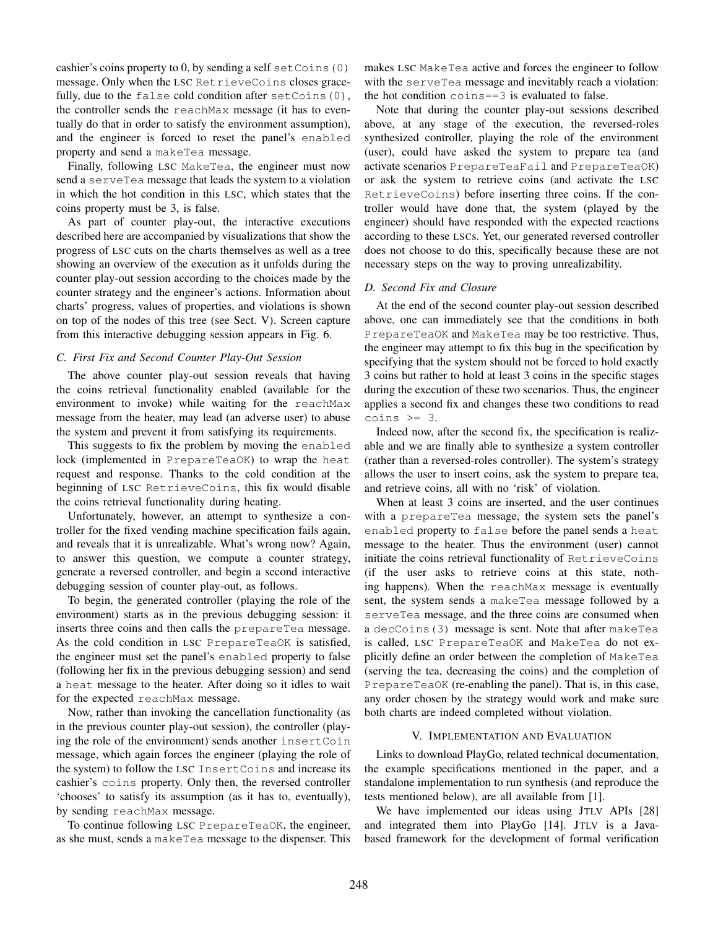cashier's coins property to 0, by sending a self set Coins  $(0)$ message. Only when the LSC RetrieveCoins closes gracefully, due to the false cold condition after setCoins(0), the controller sends the reachMax message (it has to eventually do that in order to satisfy the environment assumption), and the engineer is forced to reset the panel's enabled property and send a makeTea message.

Finally, following LSC MakeTea, the engineer must now send a serveTea message that leads the system to a violation in which the hot condition in this LSC, which states that the coins property must be 3, is false.

As part of counter play-out, the interactive executions described here are accompanied by visualizations that show the progress of LSC cuts on the charts themselves as well as a tree showing an overview of the execution as it unfolds during the counter play-out session according to the choices made by the counter strategy and the engineer's actions. Information about charts' progress, values of properties, and violations is shown on top of the nodes of this tree (see Sect. V). Screen capture from this interactive debugging session appears in Fig. 6.

## *C. First Fix and Second Counter Play-Out Session*

The above counter play-out session reveals that having the coins retrieval functionality enabled (available for the environment to invoke) while waiting for the reachMax message from the heater, may lead (an adverse user) to abuse the system and prevent it from satisfying its requirements.

This suggests to fix the problem by moving the enabled lock (implemented in PrepareTeaOK) to wrap the heat request and response. Thanks to the cold condition at the beginning of LSC RetrieveCoins, this fix would disable the coins retrieval functionality during heating.

Unfortunately, however, an attempt to synthesize a controller for the fixed vending machine specification fails again, and reveals that it is unrealizable. What's wrong now? Again, to answer this question, we compute a counter strategy, generate a reversed controller, and begin a second interactive debugging session of counter play-out, as follows.

To begin, the generated controller (playing the role of the environment) starts as in the previous debugging session: it inserts three coins and then calls the prepareTea message. As the cold condition in LSC PrepareTeaOK is satisfied, the engineer must set the panel's enabled property to false (following her fix in the previous debugging session) and send a heat message to the heater. After doing so it idles to wait for the expected reachMax message.

Now, rather than invoking the cancellation functionality (as in the previous counter play-out session), the controller (playing the role of the environment) sends another insertCoin message, which again forces the engineer (playing the role of the system) to follow the LSC InsertCoins and increase its cashier's coins property. Only then, the reversed controller 'chooses' to satisfy its assumption (as it has to, eventually), by sending reachMax message.

To continue following LSC PrepareTeaOK, the engineer, as she must, sends a makeTea message to the dispenser. This

makes LSC MakeTea active and forces the engineer to follow with the serveTea message and inevitably reach a violation: the hot condition coins==3 is evaluated to false.

Note that during the counter play-out sessions described above, at any stage of the execution, the reversed-roles synthesized controller, playing the role of the environment (user), could have asked the system to prepare tea (and activate scenarios PrepareTeaFail and PrepareTeaOK) or ask the system to retrieve coins (and activate the LSC RetrieveCoins) before inserting three coins. If the controller would have done that, the system (played by the engineer) should have responded with the expected reactions according to these LSCs. Yet, our generated reversed controller does not choose to do this, specifically because these are not necessary steps on the way to proving unrealizability.

## *D. Second Fix and Closure*

At the end of the second counter play-out session described above, one can immediately see that the conditions in both PrepareTeaOK and MakeTea may be too restrictive. Thus, the engineer may attempt to fix this bug in the specification by specifying that the system should not be forced to hold exactly 3 coins but rather to hold at least 3 coins in the specific stages during the execution of these two scenarios. Thus, the engineer applies a second fix and changes these two conditions to read  $coins$  >= 3.

Indeed now, after the second fix, the specification is realizable and we are finally able to synthesize a system controller (rather than a reversed-roles controller). The system's strategy allows the user to insert coins, ask the system to prepare tea, and retrieve coins, all with no 'risk' of violation.

When at least 3 coins are inserted, and the user continues with a prepareTea message, the system sets the panel's enabled property to false before the panel sends a heat message to the heater. Thus the environment (user) cannot initiate the coins retrieval functionality of RetrieveCoins (if the user asks to retrieve coins at this state, nothing happens). When the reachMax message is eventually sent, the system sends a makeTea message followed by a serveTea message, and the three coins are consumed when a decCoins(3) message is sent. Note that after makeTea is called, LSC PrepareTeaOK and MakeTea do not explicitly define an order between the completion of MakeTea (serving the tea, decreasing the coins) and the completion of PrepareTeaOK (re-enabling the panel). That is, in this case, any order chosen by the strategy would work and make sure both charts are indeed completed without violation.

## V. IMPLEMENTATION AND EVALUATION

Links to download PlayGo, related technical documentation, the example specifications mentioned in the paper, and a standalone implementation to run synthesis (and reproduce the tests mentioned below), are all available from [1].

We have implemented our ideas using JTLV APIs [28] and integrated them into PlayGo [14]. JTLV is a Javabased framework for the development of formal verification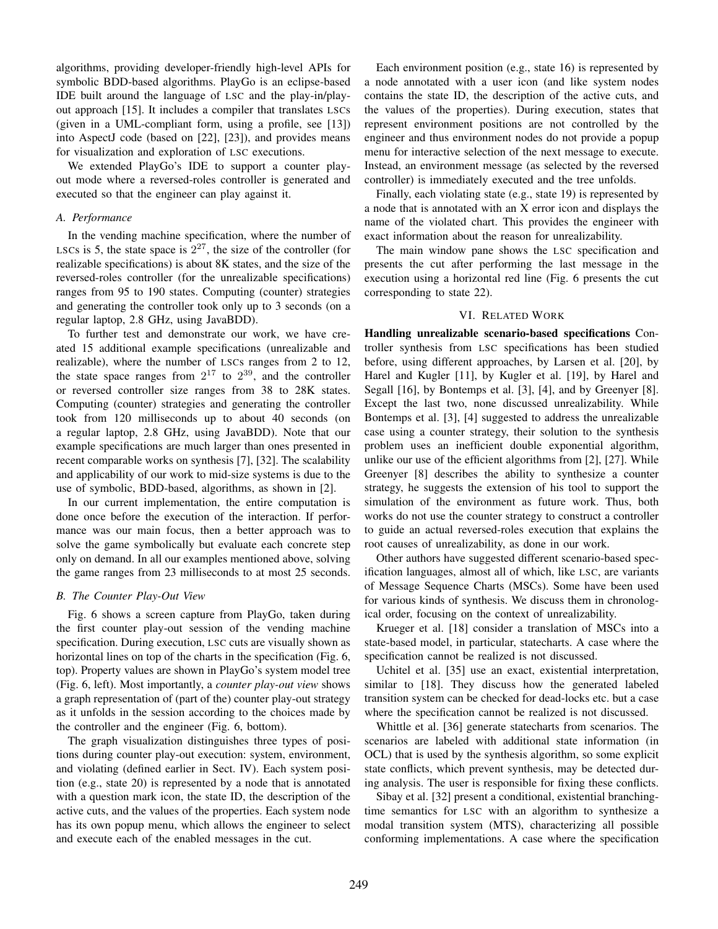algorithms, providing developer-friendly high-level APIs for symbolic BDD-based algorithms. PlayGo is an eclipse-based IDE built around the language of LSC and the play-in/playout approach [15]. It includes a compiler that translates LSCs (given in a UML-compliant form, using a profile, see [13]) into AspectJ code (based on [22], [23]), and provides means for visualization and exploration of LSC executions.

We extended PlayGo's IDE to support a counter playout mode where a reversed-roles controller is generated and executed so that the engineer can play against it.

## *A. Performance*

In the vending machine specification, where the number of LSCs is 5, the state space is  $2^{27}$ , the size of the controller (for realizable specifications) is about 8K states, and the size of the reversed-roles controller (for the unrealizable specifications) ranges from 95 to 190 states. Computing (counter) strategies and generating the controller took only up to 3 seconds (on a regular laptop, 2.8 GHz, using JavaBDD).

To further test and demonstrate our work, we have created 15 additional example specifications (unrealizable and realizable), where the number of LSCs ranges from 2 to 12, the state space ranges from  $2^{17}$  to  $2^{39}$ , and the controller or reversed controller size ranges from 38 to 28K states. Computing (counter) strategies and generating the controller took from 120 milliseconds up to about 40 seconds (on a regular laptop, 2.8 GHz, using JavaBDD). Note that our example specifications are much larger than ones presented in recent comparable works on synthesis [7], [32]. The scalability and applicability of our work to mid-size systems is due to the use of symbolic, BDD-based, algorithms, as shown in [2].

In our current implementation, the entire computation is done once before the execution of the interaction. If performance was our main focus, then a better approach was to solve the game symbolically but evaluate each concrete step only on demand. In all our examples mentioned above, solving the game ranges from 23 milliseconds to at most 25 seconds.

## *B. The Counter Play-Out View*

Fig. 6 shows a screen capture from PlayGo, taken during the first counter play-out session of the vending machine specification. During execution, LSC cuts are visually shown as horizontal lines on top of the charts in the specification (Fig. 6, top). Property values are shown in PlayGo's system model tree (Fig. 6, left). Most importantly, a *counter play-out view* shows a graph representation of (part of the) counter play-out strategy as it unfolds in the session according to the choices made by the controller and the engineer (Fig. 6, bottom).

The graph visualization distinguishes three types of positions during counter play-out execution: system, environment, and violating (defined earlier in Sect. IV). Each system position (e.g., state 20) is represented by a node that is annotated with a question mark icon, the state ID, the description of the active cuts, and the values of the properties. Each system node has its own popup menu, which allows the engineer to select and execute each of the enabled messages in the cut.

Each environment position (e.g., state 16) is represented by a node annotated with a user icon (and like system nodes contains the state ID, the description of the active cuts, and the values of the properties). During execution, states that represent environment positions are not controlled by the engineer and thus environment nodes do not provide a popup menu for interactive selection of the next message to execute. Instead, an environment message (as selected by the reversed controller) is immediately executed and the tree unfolds.

Finally, each violating state (e.g., state 19) is represented by a node that is annotated with an X error icon and displays the name of the violated chart. This provides the engineer with exact information about the reason for unrealizability.

The main window pane shows the LSC specification and presents the cut after performing the last message in the execution using a horizontal red line (Fig. 6 presents the cut corresponding to state 22).

# VI. RELATED WORK

Handling unrealizable scenario-based specifications Controller synthesis from LSC specifications has been studied before, using different approaches, by Larsen et al. [20], by Harel and Kugler [11], by Kugler et al. [19], by Harel and Segall [16], by Bontemps et al. [3], [4], and by Greenyer [8]. Except the last two, none discussed unrealizability. While Bontemps et al. [3], [4] suggested to address the unrealizable case using a counter strategy, their solution to the synthesis problem uses an inefficient double exponential algorithm, unlike our use of the efficient algorithms from [2], [27]. While Greenyer [8] describes the ability to synthesize a counter strategy, he suggests the extension of his tool to support the simulation of the environment as future work. Thus, both works do not use the counter strategy to construct a controller to guide an actual reversed-roles execution that explains the root causes of unrealizability, as done in our work.

Other authors have suggested different scenario-based specification languages, almost all of which, like LSC, are variants of Message Sequence Charts (MSCs). Some have been used for various kinds of synthesis. We discuss them in chronological order, focusing on the context of unrealizability.

Krueger et al. [18] consider a translation of MSCs into a state-based model, in particular, statecharts. A case where the specification cannot be realized is not discussed.

Uchitel et al. [35] use an exact, existential interpretation, similar to [18]. They discuss how the generated labeled transition system can be checked for dead-locks etc. but a case where the specification cannot be realized is not discussed.

Whittle et al. [36] generate statecharts from scenarios. The scenarios are labeled with additional state information (in OCL) that is used by the synthesis algorithm, so some explicit state conflicts, which prevent synthesis, may be detected during analysis. The user is responsible for fixing these conflicts.

Sibay et al. [32] present a conditional, existential branchingtime semantics for LSC with an algorithm to synthesize a modal transition system (MTS), characterizing all possible conforming implementations. A case where the specification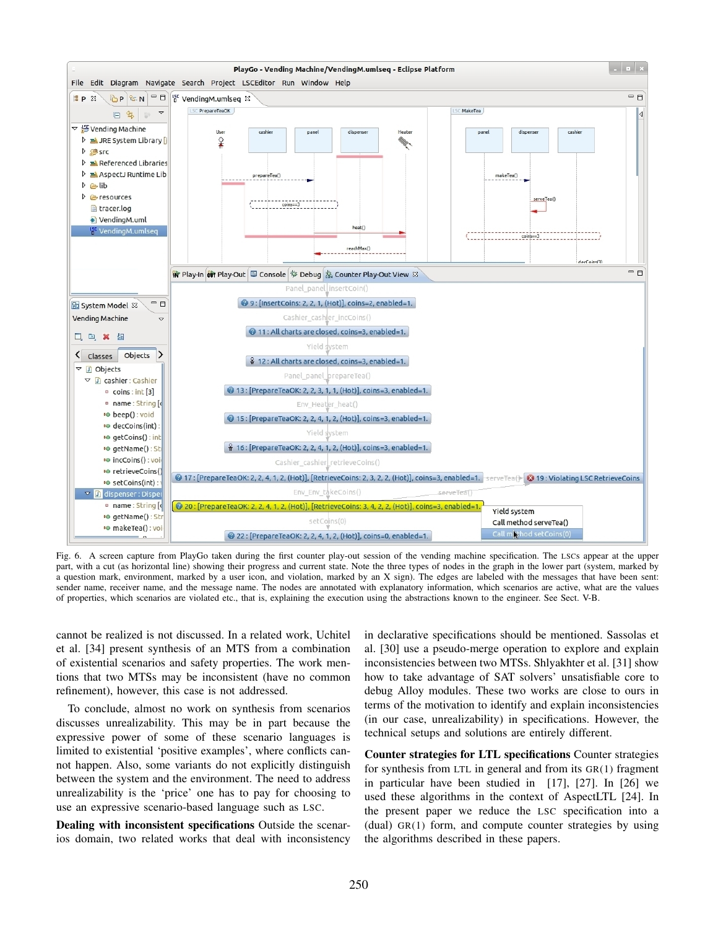

Fig. 6. A screen capture from PlayGo taken during the first counter play-out session of the vending machine specification. The LSCs appear at the upper part, with a cut (as horizontal line) showing their progress and current state. Note the three types of nodes in the graph in the lower part (system, marked by a question mark, environment, marked by a user icon, and violation, marked by an X sign). The edges are labeled with the messages that have been sent: sender name, receiver name, and the message name. The nodes are annotated with explanatory information, which scenarios are active, what are the values of properties, which scenarios are violated etc., that is, explaining the execution using the abstractions known to the engineer. See Sect. V-B.

cannot be realized is not discussed. In a related work, Uchitel et al. [34] present synthesis of an MTS from a combination of existential scenarios and safety properties. The work mentions that two MTSs may be inconsistent (have no common refinement), however, this case is not addressed.

To conclude, almost no work on synthesis from scenarios discusses unrealizability. This may be in part because the expressive power of some of these scenario languages is limited to existential 'positive examples', where conflicts cannot happen. Also, some variants do not explicitly distinguish between the system and the environment. The need to address unrealizability is the 'price' one has to pay for choosing to use an expressive scenario-based language such as LSC.

Dealing with inconsistent specifications Outside the scenarios domain, two related works that deal with inconsistency in declarative specifications should be mentioned. Sassolas et al. [30] use a pseudo-merge operation to explore and explain inconsistencies between two MTSs. Shlyakhter et al. [31] show how to take advantage of SAT solvers' unsatisfiable core to debug Alloy modules. These two works are close to ours in terms of the motivation to identify and explain inconsistencies (in our case, unrealizability) in specifications. However, the technical setups and solutions are entirely different.

Counter strategies for LTL specifications Counter strategies for synthesis from LTL in general and from its GR(1) fragment in particular have been studied in [17], [27]. In [26] we used these algorithms in the context of AspectLTL [24]. In the present paper we reduce the LSC specification into a (dual) GR(1) form, and compute counter strategies by using the algorithms described in these papers.